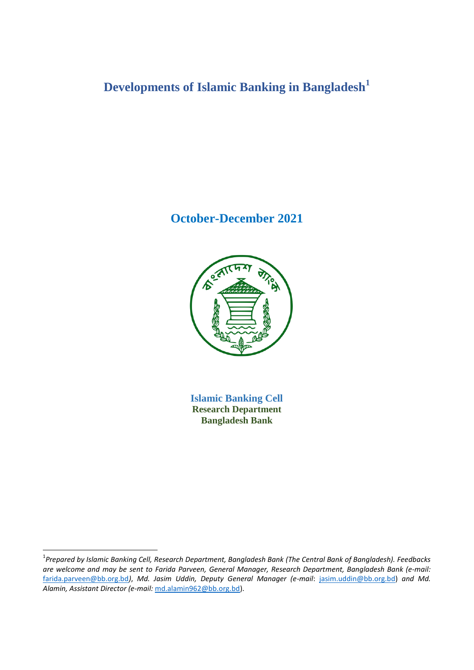# **Developments of Islamic Banking in Bangladesh<sup>1</sup>**

# **October-December 2021**



**Islamic Banking Cell Research Department Bangladesh Bank**

1

<sup>1</sup> *Prepared by Islamic Banking Cell, Research Department, Bangladesh Bank (The Central Bank of Bangladesh). Feedbacks are welcome and may be sent to Farida Parveen, General Manager, Research Department, Bangladesh Bank (e-mail:*  [farida.parveen@bb.org.bd](mailto:farida.parveen@bb.org.bd)*)*, *Md. Jasim Uddin, Deputy General Manager (e-mail*: [jasim.uddin@bb.org.bd\)](mailto:jasim.uddin@bb.org.bd) *and Md. Alamin, Assistant Director (e-mail:* [md.alamin962@bb.org.bd\)](mailto:md.alamin962@bb.org.bd).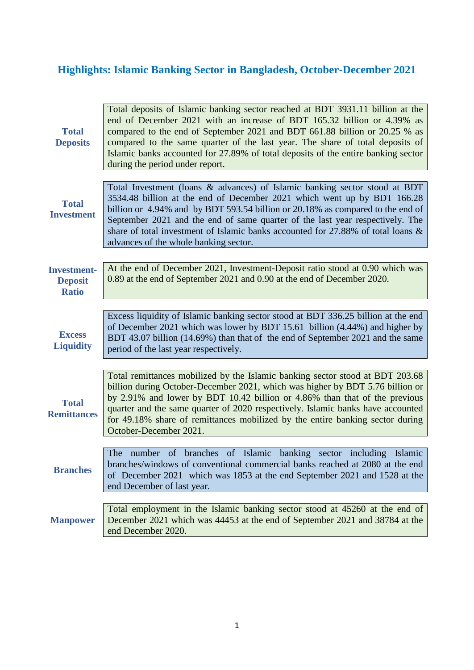# **Highlights: Islamic Banking Sector in Bangladesh, October-December 2021**

| <b>Total</b><br><b>Deposits</b>                      | Total deposits of Islamic banking sector reached at BDT 3931.11 billion at the<br>end of December 2021 with an increase of BDT 165.32 billion or 4.39% as<br>compared to the end of September 2021 and BDT 661.88 billion or 20.25 % as<br>compared to the same quarter of the last year. The share of total deposits of<br>Islamic banks accounted for 27.89% of total deposits of the entire banking sector<br>during the period under report.      |
|------------------------------------------------------|-------------------------------------------------------------------------------------------------------------------------------------------------------------------------------------------------------------------------------------------------------------------------------------------------------------------------------------------------------------------------------------------------------------------------------------------------------|
| <b>Total</b><br><b>Investment</b>                    | Total Investment (loans & advances) of Islamic banking sector stood at BDT<br>3534.48 billion at the end of December 2021 which went up by BDT 166.28<br>billion or 4.94% and by BDT 593.54 billion or 20.18% as compared to the end of<br>September 2021 and the end of same quarter of the last year respectively. The<br>share of total investment of Islamic banks accounted for 27.88% of total loans &<br>advances of the whole banking sector. |
| <b>Investment-</b><br><b>Deposit</b><br><b>Ratio</b> | At the end of December 2021, Investment-Deposit ratio stood at 0.90 which was<br>0.89 at the end of September 2021 and 0.90 at the end of December 2020.                                                                                                                                                                                                                                                                                              |
| <b>Excess</b><br><b>Liquidity</b>                    | Excess liquidity of Islamic banking sector stood at BDT 336.25 billion at the end<br>of December 2021 which was lower by BDT 15.61 billion (4.44%) and higher by<br>BDT 43.07 billion (14.69%) than that of the end of September 2021 and the same<br>period of the last year respectively.                                                                                                                                                           |
| <b>Total</b><br><b>Remittances</b>                   | Total remittances mobilized by the Islamic banking sector stood at BDT 203.68<br>billion during October-December 2021, which was higher by BDT 5.76 billion or<br>by 2.91% and lower by BDT 10.42 billion or 4.86% than that of the previous<br>quarter and the same quarter of 2020 respectively. Islamic banks have accounted<br>for 49.18% share of remittances mobilized by the entire banking sector during<br>October-December 2021.            |
| <b>Branches</b>                                      | of Islamic<br>banking sector including Islamic<br>The number of branches<br>branches/windows of conventional commercial banks reached at 2080 at the end<br>of December 2021 which was 1853 at the end September 2021 and 1528 at the<br>end December of last year.                                                                                                                                                                                   |
| <b>Manpower</b>                                      | Total employment in the Islamic banking sector stood at 45260 at the end of<br>December 2021 which was 44453 at the end of September 2021 and 38784 at the<br>end December 2020.                                                                                                                                                                                                                                                                      |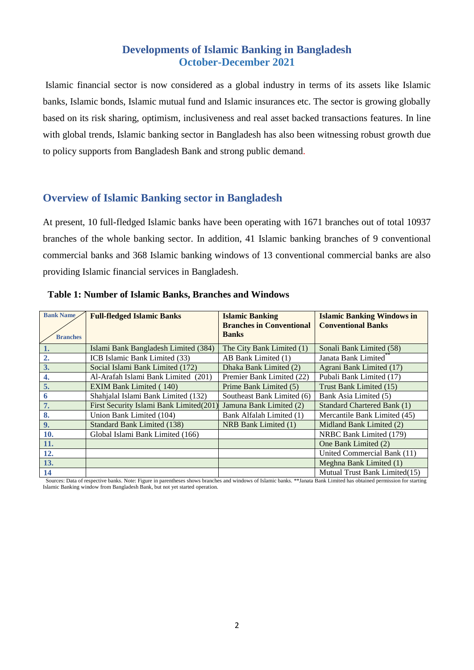# **Developments of Islamic Banking in Bangladesh October-December 2021**

Islamic financial sector is now considered as a global industry in terms of its assets like Islamic banks, Islamic bonds, Islamic mutual fund and Islamic insurances etc. The sector is growing globally based on its risk sharing, optimism, inclusiveness and real asset backed transactions features. In line with global trends, Islamic banking sector in Bangladesh has also been witnessing robust growth due to policy supports from Bangladesh Bank and strong public demand.

# **Overview of Islamic Banking sector in Bangladesh**

At present, 10 full-fledged Islamic banks have been operating with 1671 branches out of total 10937 branches of the whole banking sector. In addition, 41 Islamic banking branches of 9 conventional commercial banks and 368 Islamic banking windows of 13 conventional commercial banks are also providing Islamic financial services in Bangladesh.

| <b>Bank Name</b> | <b>Full-fledged Islamic Banks</b>       | <b>Islamic Banking</b>          | <b>Islamic Banking Windows in</b> |
|------------------|-----------------------------------------|---------------------------------|-----------------------------------|
|                  |                                         | <b>Branches in Conventional</b> | <b>Conventional Banks</b>         |
| <b>Branches</b>  |                                         | <b>Banks</b>                    |                                   |
| 1.               | Islami Bank Bangladesh Limited (384)    | The City Bank Limited (1)       | Sonali Bank Limited (58)          |
| 2.               | ICB Islamic Bank Limited (33)           | AB Bank Limited (1)             | Janata Bank Limited <sup>**</sup> |
| 3.               | Social Islami Bank Limited (172)        | Dhaka Bank Limited (2)          | Agrani Bank Limited (17)          |
| 4.               | Al-Arafah Islami Bank Limited (201)     | Premier Bank Limited (22)       | Pubali Bank Limited (17)          |
| 5.               | <b>EXIM Bank Limited (140)</b>          | Prime Bank Limited (5)          | Trust Bank Limited (15)           |
| 6                | Shahjalal Islami Bank Limited (132)     | Southeast Bank Limited (6)      | Bank Asia Limited (5)             |
| 7.               | First Security Islami Bank Limited(201) | Jamuna Bank Limited (2)         | Standard Chartered Bank (1)       |
| 8.               | Union Bank Limited (104)                | Bank Alfalah Limited (1)        | Mercantile Bank Limited (45)      |
| 9.               | Standard Bank Limited (138)             | NRB Bank Limited (1)            | Midland Bank Limited (2)          |
| 10.              | Global Islami Bank Limited (166)        |                                 | NRBC Bank Limited (179)           |
| 11.              |                                         |                                 | One Bank Limited (2)              |
| 12.              |                                         |                                 | United Commercial Bank (11)       |
| 13.              |                                         |                                 | Meghna Bank Limited (1)           |
| 14               |                                         |                                 | Mutual Trust Bank Limited(15)     |

#### **Table 1: Number of Islamic Banks, Branches and Windows**

 Sources: Data of respective banks. Note: Figure in parentheses shows branches and windows of Islamic banks. \*\*Janata Bank Limited has obtained permission for starting Islamic Banking window from Bangladesh Bank, but not yet started operation.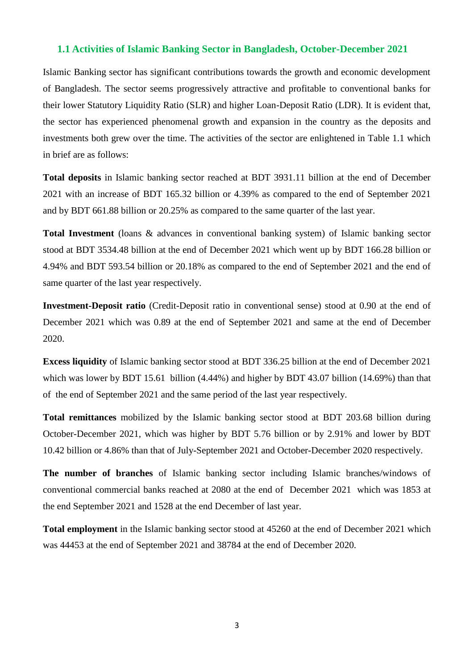#### **1.1 Activities of Islamic Banking Sector in Bangladesh, October-December 2021**

Islamic Banking sector has significant contributions towards the growth and economic development of Bangladesh. The sector seems progressively attractive and profitable to conventional banks for their lower Statutory Liquidity Ratio (SLR) and higher Loan-Deposit Ratio (LDR). It is evident that, the sector has experienced phenomenal growth and expansion in the country as the deposits and investments both grew over the time. The activities of the sector are enlightened in Table 1.1 which in brief are as follows:

**Total deposits** in Islamic banking sector reached at BDT 3931.11 billion at the end of December 2021 with an increase of BDT 165.32 billion or 4.39% as compared to the end of September 2021 and by BDT 661.88 billion or 20.25% as compared to the same quarter of the last year.

**Total Investment** (loans & advances in conventional banking system) of Islamic banking sector stood at BDT 3534.48 billion at the end of December 2021 which went up by BDT 166.28 billion or 4.94% and BDT 593.54 billion or 20.18% as compared to the end of September 2021 and the end of same quarter of the last year respectively.

**Investment-Deposit ratio** (Credit-Deposit ratio in conventional sense) stood at 0.90 at the end of December 2021 which was 0.89 at the end of September 2021 and same at the end of December 2020.

**Excess liquidity** of Islamic banking sector stood at BDT 336.25 billion at the end of December 2021 which was lower by BDT 15.61 billion (4.44%) and higher by BDT 43.07 billion (14.69%) than that of the end of September 2021 and the same period of the last year respectively.

**Total remittances** mobilized by the Islamic banking sector stood at BDT 203.68 billion during October-December 2021, which was higher by BDT 5.76 billion or by 2.91% and lower by BDT 10.42 billion or 4.86% than that of July-September 2021 and October-December 2020 respectively.

**The number of branches** of Islamic banking sector including Islamic branches/windows of conventional commercial banks reached at 2080 at the end of December 2021 which was 1853 at the end September 2021 and 1528 at the end December of last year.

**Total employment** in the Islamic banking sector stood at 45260 at the end of December 2021 which was 44453 at the end of September 2021 and 38784 at the end of December 2020.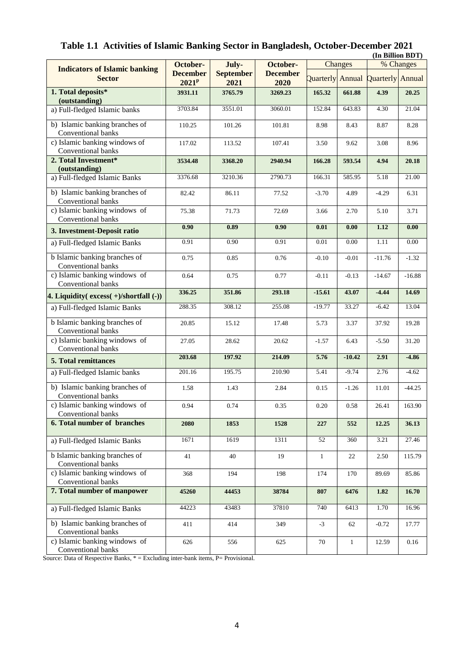| (In Billion BDT)                                     |                             |                          |                         |                         |              |                         |          |
|------------------------------------------------------|-----------------------------|--------------------------|-------------------------|-------------------------|--------------|-------------------------|----------|
| <b>Indicators of Islamic banking</b>                 | October-                    | July-<br>October-        |                         | Changes                 |              | % Changes               |          |
| <b>Sector</b>                                        | <b>December</b><br>$2021^p$ | <b>September</b><br>2021 | <b>December</b><br>2020 | <b>Quarterly</b> Annual |              | <b>Quarterly</b> Annual |          |
| 1. Total deposits*                                   | 3931.11                     | 3765.79                  | 3269.23                 | 165.32                  | 661.88       | 4.39                    | 20.25    |
| (outstanding)<br>a) Full-fledged Islamic banks       | 3703.84                     | 3551.01                  | 3060.01                 | 152.84                  | 643.83       | 4.30                    | 21.04    |
| b) Islamic banking branches of                       | 110.25                      | 101.26                   | 101.81                  | 8.98                    | 8.43         | 8.87                    | 8.28     |
| Conventional banks                                   |                             |                          |                         |                         |              |                         |          |
| c) Islamic banking windows of<br>Conventional banks  | 117.02                      | 113.52                   | 107.41                  | 3.50                    | 9.62         | 3.08                    | 8.96     |
| 2. Total Investment*<br>(outstanding)                | 3534.48                     | 3368.20                  | 2940.94                 | 166.28                  | 593.54       | 4.94                    | 20.18    |
| a) Full-fledged Islamic Banks                        | 3376.68                     | 3210.36                  | 2790.73                 | 166.31                  | 585.95       | 5.18                    | 21.00    |
|                                                      |                             |                          |                         |                         |              |                         |          |
| b) Islamic banking branches of<br>Conventional banks | 82.42                       | 86.11                    | 77.52                   | $-3.70$                 | 4.89         | $-4.29$                 | 6.31     |
| c) Islamic banking windows of<br>Conventional banks  | 75.38                       | 71.73                    | 72.69                   | 3.66                    | 2.70         | 5.10                    | 3.71     |
| 3. Investment-Deposit ratio                          | $\overline{0.90}$           | 0.89                     | 0.90                    | 0.01                    | 0.00         | 1.12                    | 0.00     |
| a) Full-fledged Islamic Banks                        | 0.91                        | 0.90                     | 0.91                    | 0.01                    | 0.00         | 1.11                    | 0.00     |
| b Islamic banking branches of<br>Conventional banks  | 0.75                        | 0.85                     | 0.76                    | $-0.10$                 | $-0.01$      | $-11.76$                | $-1.32$  |
| c) Islamic banking windows of<br>Conventional banks  | 0.64                        | 0.75                     | 0.77                    | $-0.11$                 | $-0.13$      | $-14.67$                | $-16.88$ |
| 4. Liquidity( $excess(+)/shortfall(-))$              | 336.25                      | 351.86                   | 293.18                  | $-15.61$                | 43.07        | $-4.44$                 | 14.69    |
| a) Full-fledged Islamic Banks                        | 288.35                      | 308.12                   | 255.08                  | $-19.77$                | 33.27        | $-6.42$                 | 13.04    |
| b Islamic banking branches of<br>Conventional banks  | 20.85                       | 15.12                    | 17.48                   | 5.73                    | 3.37         | 37.92                   | 19.28    |
| c) Islamic banking windows of<br>Conventional banks  | 27.05                       | 28.62                    | 20.62                   | $-1.57$                 | 6.43         | $-5.50$                 | 31.20    |
| <b>5. Total remittances</b>                          | 203.68                      | 197.92                   | 214.09                  | 5.76                    | $-10.42$     | 2.91                    | $-4.86$  |
| a) Full-fledged Islamic banks                        | 201.16                      | 195.75                   | 210.90                  | 5.41                    | $-9.74$      | 2.76                    | $-4.62$  |
| b) Islamic banking branches of<br>Conventional banks | 1.58                        | 1.43                     | 2.84                    | 0.15                    | $-1.26$      | 11.01                   | $-44.25$ |
| c) Islamic banking windows of<br>Conventional banks  | 0.94                        | 0.74                     | 0.35                    | 0.20                    | 0.58         | 26.41                   | 163.90   |
| <b>6. Total number of branches</b>                   | 2080                        | 1853                     | 1528                    | 227                     | 552          | 12.25                   | 36.13    |
| a) Full-fledged Islamic Banks                        | 1671                        | 1619                     | 1311                    | 52                      | 360          | 3.21                    | 27.46    |
| b Islamic banking branches of<br>Conventional banks  | 41                          | 40                       | 19                      | $\mathbf{1}$            | 22           | 2.50                    | 115.79   |
| c) Islamic banking windows of<br>Conventional banks  | 368                         | 194                      | 198                     | 174                     | 170          | 89.69                   | 85.86    |
| 7. Total number of manpower                          | 45260                       | 44453                    | 38784                   | 807                     | 6476         | 1.82                    | 16.70    |
| a) Full-fledged Islamic Banks                        | 44223                       | 43483                    | 37810                   | 740                     | 6413         | 1.70                    | 16.96    |
| b) Islamic banking branches of<br>Conventional banks | 411                         | 414                      | 349                     | $-3$                    | 62           | $-0.72$                 | 17.77    |
| c) Islamic banking windows of<br>Conventional banks  | 626                         | 556                      | 625                     | $70\,$                  | $\mathbf{1}$ | 12.59                   | 0.16     |

# **Table 1.1 Activities of Islamic Banking Sector in Bangladesh, October-December 2021**

Source: Data of Respective Banks, \* = Excluding inter-bank items, P= Provisional.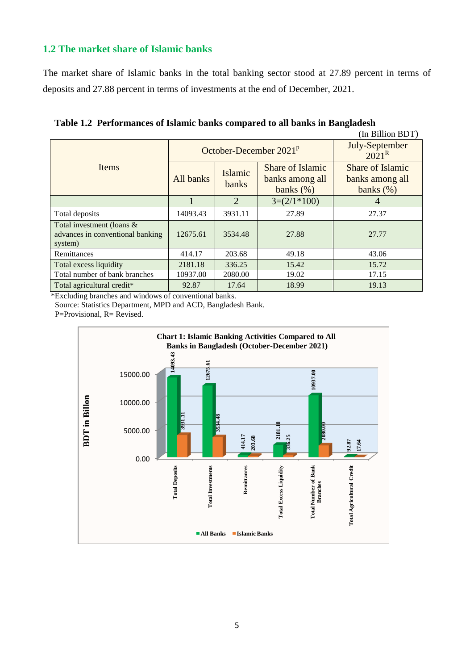## **1.2 The market share of Islamic banks**

The market share of Islamic banks in the total banking sector stood at 27.89 percent in terms of deposits and 27.88 percent in terms of investments at the end of December, 2021.

| (In Billion BDT)                                                         |           |                          |                                                     |                                                     |  |  |  |
|--------------------------------------------------------------------------|-----------|--------------------------|-----------------------------------------------------|-----------------------------------------------------|--|--|--|
|                                                                          |           | October-December $2021p$ | July-September<br>$2021^{\rm R}$                    |                                                     |  |  |  |
| Items                                                                    | All banks | Islamic<br>banks         | Share of Islamic<br>banks among all<br>banks $(\%)$ | Share of Islamic<br>banks among all<br>banks $(\%)$ |  |  |  |
|                                                                          |           | $\mathfrak{D}$           | $3=(2/1*100)$                                       | 4                                                   |  |  |  |
| Total deposits                                                           | 14093.43  | 3931.11                  | 27.89                                               | 27.37                                               |  |  |  |
| Total investment (loans &<br>advances in conventional banking<br>system) | 12675.61  | 3534.48                  | 27.88                                               | 27.77                                               |  |  |  |
| Remittances                                                              | 414.17    | 203.68                   | 49.18                                               | 43.06                                               |  |  |  |
| 2181.18<br>Total excess liquidity                                        |           | 336.25                   | 15.42                                               | 15.72                                               |  |  |  |
| Total number of bank branches                                            | 10937.00  | 2080.00                  | 19.02                                               | 17.15                                               |  |  |  |
| Total agricultural credit*                                               | 92.87     | 17.64                    | 18.99                                               | 19.13                                               |  |  |  |

**Table 1.2 Performances of Islamic banks compared to all banks in Bangladesh**

\*Excluding branches and windows of conventional banks.

Source: Statistics Department, MPD and ACD, Bangladesh Bank.

P=Provisional, R= Revised.

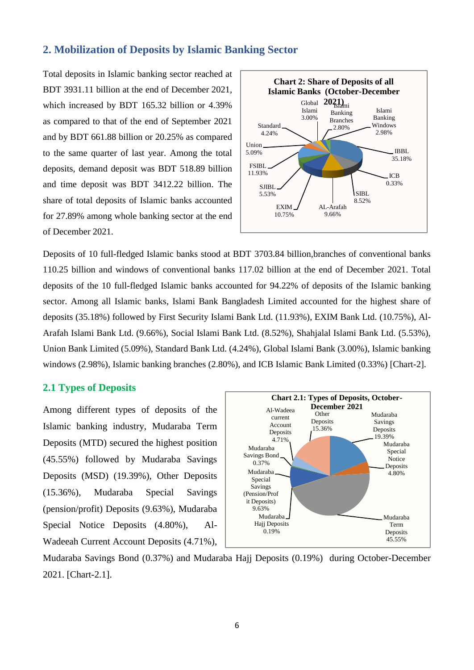### **2. Mobilization of Deposits by Islamic Banking Sector**

Total deposits in Islamic banking sector reached at BDT 3931.11 billion at the end of December 2021, which increased by BDT 165.32 billion or 4.39% as compared to that of the end of September 2021 and by BDT 661.88 billion or 20.25% as compared to the same quarter of last year. Among the total deposits, demand deposit was BDT 518.89 billion and time deposit was BDT 3412.22 billion. The share of total deposits of Islamic banks accounted for 27.89% among whole banking sector at the end of December 2021.



Deposits of 10 full-fledged Islamic banks stood at BDT 3703.84 billion,branches of conventional banks 110.25 billion and windows of conventional banks 117.02 billion at the end of December 2021. Total deposits of the 10 full-fledged Islamic banks accounted for 94.22% of deposits of the Islamic banking sector. Among all Islamic banks, Islami Bank Bangladesh Limited accounted for the highest share of deposits (35.18%) followed by First Security Islami Bank Ltd. (11.93%), EXIM Bank Ltd. (10.75%), Al-Arafah Islami Bank Ltd. (9.66%), Social Islami Bank Ltd. (8.52%), Shahjalal Islami Bank Ltd. (5.53%), Union Bank Limited (5.09%), Standard Bank Ltd. (4.24%), Global Islami Bank (3.00%), Islamic banking windows (2.98%), Islamic banking branches (2.80%), and ICB Islamic Bank Limited (0.33%) [Chart-2].

#### **2.1 Types of Deposits**

Among different types of deposits of the Islamic banking industry, Mudaraba Term Deposits (MTD) secured the highest position (45.55%) followed by Mudaraba Savings Deposits (MSD) (19.39%), Other Deposits (15.36%), Mudaraba Special Savings (pension/profit) Deposits (9.63%), Mudaraba Special Notice Deposits (4.80%), Al-Wadeeah Current Account Deposits (4.71%),



Mudaraba Savings Bond (0.37%) and Mudaraba Hajj Deposits (0.19%) during October-December 2021. [Chart-2.1].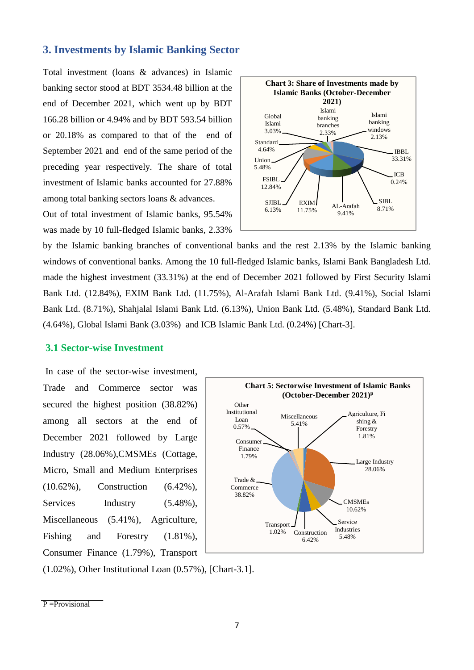### **3. Investments by Islamic Banking Sector**

Total investment (loans & advances) in Islamic banking sector stood at BDT 3534.48 billion at the end of December 2021, which went up by BDT 166.28 billion or 4.94% and by BDT 593.54 billion or 20.18% as compared to that of the end of September 2021 and end of the same period of the preceding year respectively. The share of total investment of Islamic banks accounted for 27.88% among total banking sectors loans & advances.

Out of total investment of Islamic banks, 95.54% was made by 10 full-fledged Islamic banks, 2.33%



by the Islamic banking branches of conventional banks and the rest 2.13% by the Islamic banking windows of conventional banks. Among the 10 full-fledged Islamic banks, Islami Bank Bangladesh Ltd. made the highest investment (33.31%) at the end of December 2021 followed by First Security Islami Bank Ltd. (12.84%), EXIM Bank Ltd. (11.75%), Al-Arafah Islami Bank Ltd. (9.41%), Social Islami Bank Ltd. (8.71%), Shahjalal Islami Bank Ltd. (6.13%), Union Bank Ltd. (5.48%), Standard Bank Ltd. (4.64%), Global Islami Bank (3.03%) and ICB Islamic Bank Ltd. (0.24%) [Chart-3].

## **3.1 Sector-wise Investment**

In case of the sector-wise investment, Trade and Commerce sector was secured the highest position (38.82%) among all sectors at the end of December 2021 followed by Large Industry (28.06%),CMSMEs (Cottage, Micro, Small and Medium Enterprises (10.62%), Construction (6.42%), Services Industry (5.48%), Miscellaneous (5.41%), Agriculture, Fishing and Forestry  $(1.81\%)$ , Consumer Finance (1.79%), Transport



(1.02%), Other Institutional Loan (0.57%), [Chart-3.1].

P = Provisional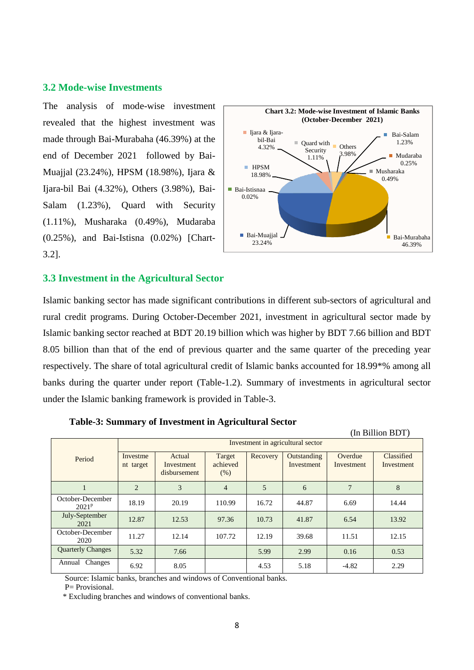#### **3.2 Mode-wise Investments**

The analysis of mode-wise investment revealed that the highest investment was made through Bai-Murabaha (46.39%) at the end of December 2021 followed by Bai-Muajjal (23.24%), HPSM (18.98%), Ijara & Ijara-bil Bai (4.32%), Others (3.98%), Bai-Salam (1.23%), Quard with Security (1.11%), Musharaka (0.49%), Mudaraba (0.25%), and Bai-Istisna (0.02%) [Chart-3.2].



#### **3.3 Investment in the Agricultural Sector**

Islamic banking sector has made significant contributions in different sub-sectors of agricultural and rural credit programs. During October-December 2021, investment in agricultural sector made by Islamic banking sector reached at BDT 20.19 billion which was higher by BDT 7.66 billion and BDT 8.05 billion than that of the end of previous quarter and the same quarter of the preceding year respectively. The share of total agricultural credit of Islamic banks accounted for 18.99\*% among all banks during the quarter under report (Table-1.2). Summary of investments in agricultural sector under the Islamic banking framework is provided in Table-3.

|                              | (In Billion BDT)                  |                                      |                            |          |                           |                       |                          |  |  |
|------------------------------|-----------------------------------|--------------------------------------|----------------------------|----------|---------------------------|-----------------------|--------------------------|--|--|
|                              | Investment in agricultural sector |                                      |                            |          |                           |                       |                          |  |  |
| Period                       | Investme<br>nt target             | Actual<br>Investment<br>disbursement | Target<br>achieved<br>(% ) | Recovery | Outstanding<br>Investment | Overdue<br>Investment | Classified<br>Investment |  |  |
| 1                            | $\overline{2}$                    | 3                                    | $\overline{4}$             | 5        | 6                         | 7                     | 8                        |  |  |
| October-December<br>$2021^p$ | 18.19                             | 20.19                                | 110.99                     | 16.72    | 44.87                     | 6.69                  | 14.44                    |  |  |
| July-September<br>2021       | 12.87                             | 12.53                                | 97.36                      | 10.73    | 41.87                     | 6.54                  | 13.92                    |  |  |
| October-December<br>2020     | 11.27                             | 12.14                                | 107.72                     | 12.19    | 39.68                     | 11.51                 | 12.15                    |  |  |
| <b>Quarterly Changes</b>     | 5.32                              | 7.66                                 |                            | 5.99     | 2.99                      | 0.16                  | 0.53                     |  |  |
| Changes<br>Annual            | 6.92                              | 8.05                                 |                            | 4.53     | 5.18                      | $-4.82$               | 2.29                     |  |  |

 **Table-3: Summary of Investment in Agricultural Sector**

Source: Islamic banks, branches and windows of Conventional banks.

P= Provisional.

\* Excluding branches and windows of conventional banks.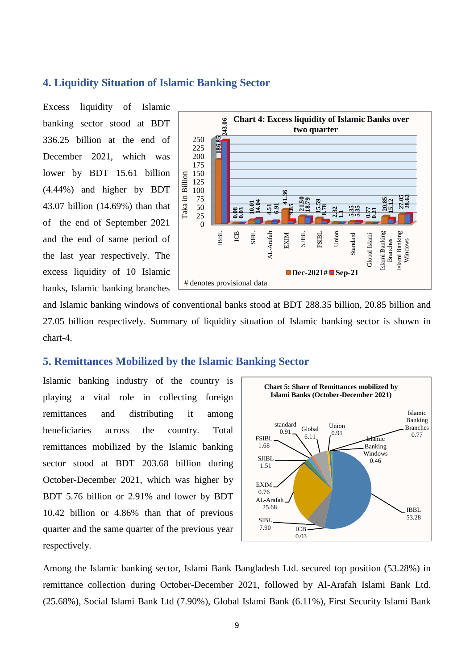### **4. Liquidity Situation of Islamic Banking Sector**

Excess liquidity of Islamic banking sector stood at BDT 336.25 billion at the end of December 2021, which was lower by BDT 15.61 billion (4.44%) and higher by BDT 43.07 billion (14.69%) than that of the end of September 2021 and the end of same period of the last year respectively. The excess liquidity of 10 Islamic banks, Islamic banking branches



and Islamic banking windows of conventional banks stood at BDT 288.35 billion, 20.85 billion and 27.05 billion respectively. Summary of liquidity situation of Islamic banking sector is shown in chart-4.

#### **5. Remittances Mobilized by the Islamic Banking Sector**

Islamic banking industry of the country is playing a vital role in collecting foreign remittances and distributing it among beneficiaries across the country. Total remittances mobilized by the Islamic banking sector stood at BDT 203.68 billion during October-December 2021, which was higher by BDT 5.76 billion or 2.91% and lower by BDT 10.42 billion or 4.86% than that of previous quarter and the same quarter of the previous year respectively.



Among the Islamic banking sector, Islami Bank Bangladesh Ltd. secured top position (53.28%) in remittance collection during October-December 2021, followed by Al-Arafah Islami Bank Ltd. (25.68%), Social Islami Bank Ltd (7.90%), Global Islami Bank (6.11%), First Security Islami Bank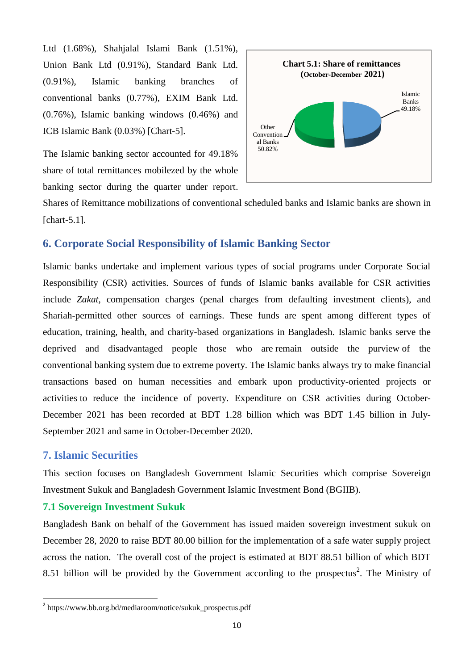Ltd (1.68%), Shahjalal Islami Bank (1.51%), Union Bank Ltd (0.91%), Standard Bank Ltd. (0.91%), Islamic banking branches of conventional banks (0.77%), EXIM Bank Ltd. (0.76%), Islamic banking windows (0.46%) and ICB Islamic Bank (0.03%) [Chart-5].

The Islamic banking sector accounted for 49.18% share of total remittances mobilezed by the whole banking sector during the quarter under report.



Shares of Remittance mobilizations of conventional scheduled banks and Islamic banks are shown in [chart-5.1].

# **6. Corporate Social Responsibility of Islamic Banking Sector**

Islamic banks undertake and implement various types of social programs under Corporate Social Responsibility (CSR) activities. Sources of funds of Islamic banks available for CSR activities include *Zakat*, compensation charges (penal charges from defaulting investment clients), and Shariah-permitted other sources of earnings. These funds are spent among different types of education, training, health, and charity-based organizations in Bangladesh. Islamic banks serve the deprived and disadvantaged people those who are remain outside the purview of the conventional banking system due to extreme poverty. The Islamic banks always try to make financial transactions based on human necessities and embark upon productivity-oriented projects or activities to reduce the incidence of poverty. Expenditure on CSR activities during October-December 2021 has been recorded at BDT 1.28 billion which was BDT 1.45 billion in July-September 2021 and same in October-December 2020.

### **7. Islamic Securities**

1

This section focuses on Bangladesh Government Islamic Securities which comprise Sovereign Investment Sukuk and Bangladesh Government Islamic Investment Bond (BGIIB).

### **7.1 Sovereign Investment Sukuk**

Bangladesh Bank on behalf of the Government has issued maiden sovereign investment sukuk on December 28, 2020 to raise BDT 80.00 billion for the implementation of a safe water supply project across the nation. The overall cost of the project is estimated at BDT 88.51 billion of which BDT 8.51 billion will be provided by the Government according to the prospectus<sup>2</sup>. The Ministry of

<sup>&</sup>lt;sup>2</sup> https://www.bb.org.bd/mediaroom/notice/sukuk\_prospectus.pdf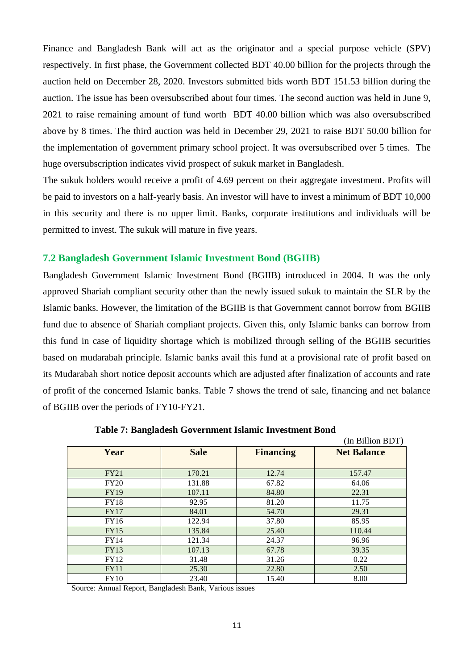Finance and Bangladesh Bank will act as the originator and a special purpose vehicle (SPV) respectively. In first phase, the Government collected BDT 40.00 billion for the projects through the auction held on December 28, 2020. Investors submitted bids worth BDT 151.53 billion during the auction. The issue has been oversubscribed about four times. The second auction was held in June 9, 2021 to raise remaining amount of fund worth BDT 40.00 billion which was also oversubscribed above by 8 times. The third auction was held in December 29, 2021 to raise BDT 50.00 billion for the implementation of government primary school project. It was oversubscribed over 5 times. The huge oversubscription indicates vivid prospect of sukuk market in Bangladesh.

The sukuk holders would receive a profit of 4.69 percent on their aggregate investment. Profits will be paid to investors on a half-yearly basis. An investor will have to invest a minimum of BDT 10,000 in this security and there is no upper limit. Banks, corporate institutions and individuals will be permitted to invest. The sukuk will mature in five years.

#### **7.2 Bangladesh Government Islamic Investment Bond (BGIIB)**

Bangladesh Government Islamic Investment Bond (BGIIB) introduced in 2004. It was the only approved Shariah compliant security other than the newly issued sukuk to maintain the SLR by the Islamic banks. However, the limitation of the BGIIB is that Government cannot borrow from BGIIB fund due to absence of Shariah compliant projects. Given this, only Islamic banks can borrow from this fund in case of liquidity shortage which is mobilized through selling of the BGIIB securities based on mudarabah principle. Islamic banks avail this fund at a provisional rate of profit based on its Mudarabah short notice deposit accounts which are adjusted after finalization of accounts and rate of profit of the concerned Islamic banks. Table 7 shows the trend of sale, financing and net balance of BGIIB over the periods of FY10-FY21.

|             |             |                  | (In Billion BDT)   |
|-------------|-------------|------------------|--------------------|
| Year        | <b>Sale</b> | <b>Financing</b> | <b>Net Balance</b> |
|             |             |                  |                    |
| <b>FY21</b> | 170.21      | 12.74            | 157.47             |
| <b>FY20</b> | 131.88      | 67.82            | 64.06              |
| <b>FY19</b> | 107.11      | 84.80            | 22.31              |
| <b>FY18</b> | 92.95       | 81.20            | 11.75              |
| FY17        | 84.01       | 54.70            | 29.31              |
| FY16        | 122.94      | 37.80            | 85.95              |
| FY15        | 135.84      | 25.40            | 110.44             |
| FY14        | 121.34      | 24.37            | 96.96              |
| FY13        | 107.13      | 67.78            | 39.35              |
| <b>FY12</b> | 31.48       | 31.26            | 0.22               |
| <b>FY11</b> | 25.30       | 22.80            | 2.50               |
| FY10        | 23.40       | 15.40            | 8.00               |

 **Table 7: Bangladesh Government Islamic Investment Bond** 

Source: Annual Report, Bangladesh Bank, Various issues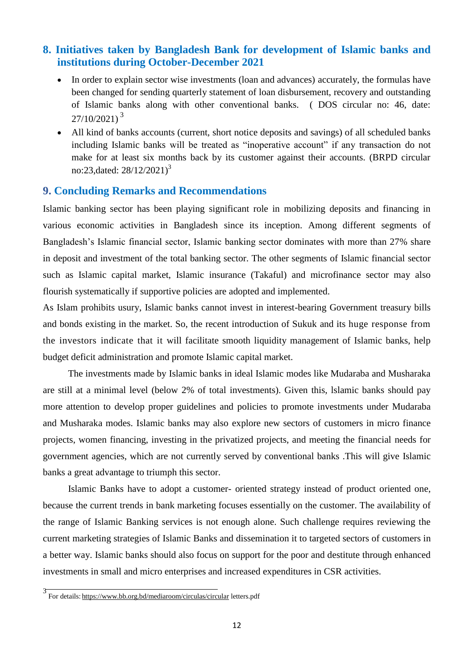# **8. Initiatives taken by Bangladesh Bank for development of Islamic banks and institutions during October-December 2021**

- In order to explain sector wise investments (loan and advances) accurately, the formulas have been changed for sending quarterly statement of loan disbursement, recovery and outstanding of Islamic banks along with other conventional banks. ( DOS circular no: 46, date:  $27/10/2021$ <sup>3</sup>
- All kind of banks accounts (current, short notice deposits and savings) of all scheduled banks including Islamic banks will be treated as "inoperative account" if any transaction do not make for at least six months back by its customer against their accounts. (BRPD circular no:23,dated:  $28/12/2021$ <sup>3</sup>

#### **9. Concluding Remarks and Recommendations**

Islamic banking sector has been playing significant role in mobilizing deposits and financing in various economic activities in Bangladesh since its inception. Among different segments of Bangladesh's Islamic financial sector, Islamic banking sector dominates with more than 27% share in deposit and investment of the total banking sector. The other segments of Islamic financial sector such as Islamic capital market, Islamic insurance (Takaful) and microfinance sector may also flourish systematically if supportive policies are adopted and implemented.

As Islam prohibits usury, Islamic banks cannot invest in interest-bearing Government treasury bills and bonds existing in the market. So, the recent introduction of Sukuk and its huge response from the investors indicate that it will facilitate smooth liquidity management of Islamic banks, help budget deficit administration and promote Islamic capital market.

The investments made by Islamic banks in ideal Islamic modes like Mudaraba and Musharaka are still at a minimal level (below 2% of total investments). Given this, lslamic banks should pay more attention to develop proper guidelines and policies to promote investments under Mudaraba and Musharaka modes. Islamic banks may also explore new sectors of customers in micro finance projects, women financing, investing in the privatized projects, and meeting the financial needs for government agencies, which are not currently served by conventional banks .This will give Islamic banks a great advantage to triumph this sector.

Islamic Banks have to adopt a customer- oriented strategy instead of product oriented one, because the current trends in bank marketing focuses essentially on the customer. The availability of the range of Islamic Banking services is not enough alone. Such challenge requires reviewing the current marketing strategies of Islamic Banks and dissemination it to targeted sectors of customers in a better way. Islamic banks should also focus on support for the poor and destitute through enhanced investments in small and micro enterprises and increased expenditures in CSR activities.

<sup>3</sup> For details: <https://www.bb.org.bd/mediaroom/circulas/circular> letters.pdf